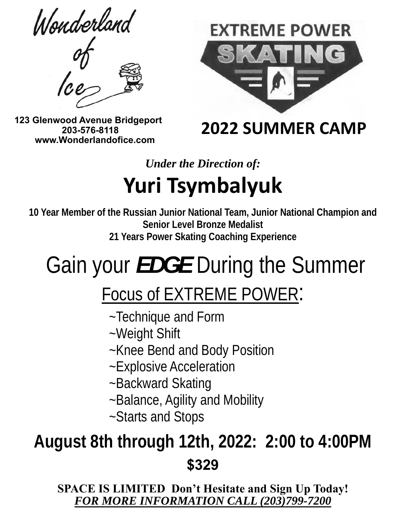Wonderland





 **123 Glenwood Avenue Bridgeport 203-576-8118 www.Wonderlandofice.com**

 **2022 SUMMER CAMP** 

*Under the Direction of:* 

# **Yuri Tsymbalyuk**

**10 Year Member of the Russian Junior National Team, Junior National Champion and Senior Level Bronze Medalist 21 Years Power Skating Coaching Experience**

# Gain your *EDGE* During the Summer

# Focus of EXTREME POWER:<br>~Technique and Form

- 
- ~Weight Shift
- ~Knee Bend and Body Position
- ~Explosive Acceleration
- ~Backward Skating
- ~Balance, Agility and Mobility
- ~Starts and Stops

# **August 8th through 12th, 2022: 2:00 to 4:00PM \$329**

**SPACE IS LIMITED Don't Hesitate and Sign Up Today!**  *FOR MORE INFORMATION CALL (203)799-7200*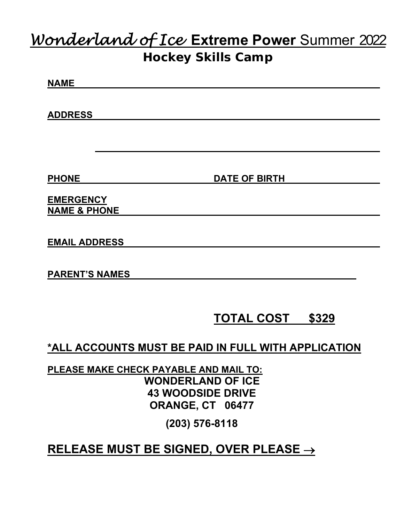### *Wonderland of Ice* **Extreme Power** Summer 2022 **Hockey Skills Camp**

## **NAME**

**ADDRESS** 

**PHONE** DATE OF BIRTH

**EMERGENCY NAME & PHONE** 

**EMAIL ADDRESS** 

**PARENT'S NAMES** 

#### **TOTAL COST \$329**

**\*ALL ACCOUNTS MUST BE PAID IN FULL WITH APPLICATION** 

**PLEASE MAKE CHECK PAYABLE AND MAIL TO: WONDERLAND OF ICE 43 WOODSIDE DRIVE ORANGE, CT 06477** 

**(203) 576-8118** 

#### **RELEASE MUST BE SIGNED, OVER PLEASE**